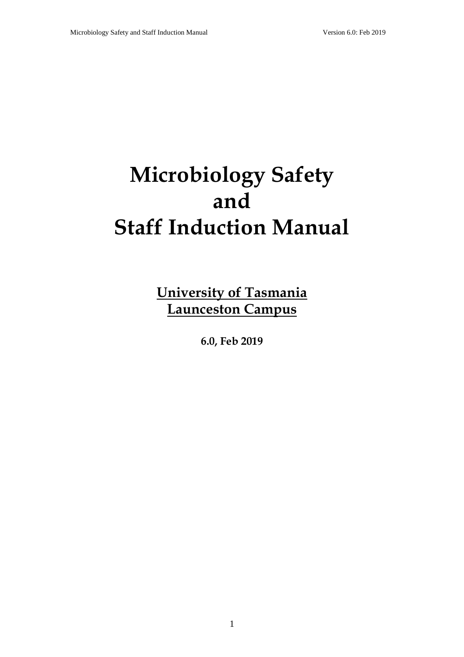# **Microbiology Safety and Staff Induction Manual**

**University of Tasmania Launceston Campus**

**6.0, Feb 2019**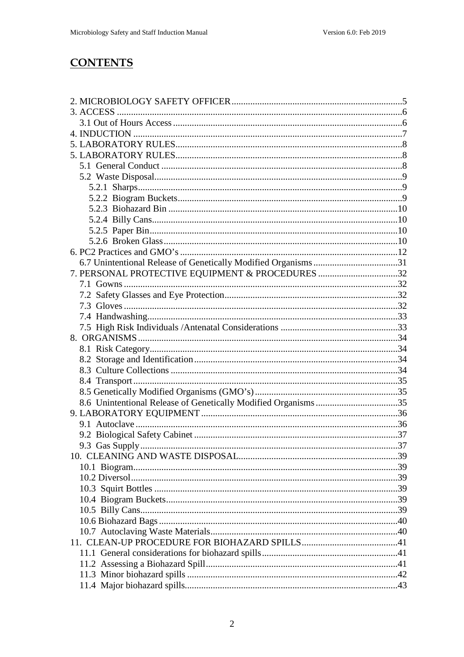## **CONTENTS**

| 7. PERSONAL PROTECTIVE EQUIPMENT & PROCEDURES 32 |  |
|--------------------------------------------------|--|
|                                                  |  |
|                                                  |  |
|                                                  |  |
|                                                  |  |
|                                                  |  |
|                                                  |  |
|                                                  |  |
|                                                  |  |
|                                                  |  |
|                                                  |  |
|                                                  |  |
|                                                  |  |
|                                                  |  |
|                                                  |  |
|                                                  |  |
|                                                  |  |
|                                                  |  |
|                                                  |  |
|                                                  |  |
|                                                  |  |
|                                                  |  |
|                                                  |  |
|                                                  |  |
|                                                  |  |
|                                                  |  |
|                                                  |  |
|                                                  |  |
|                                                  |  |
|                                                  |  |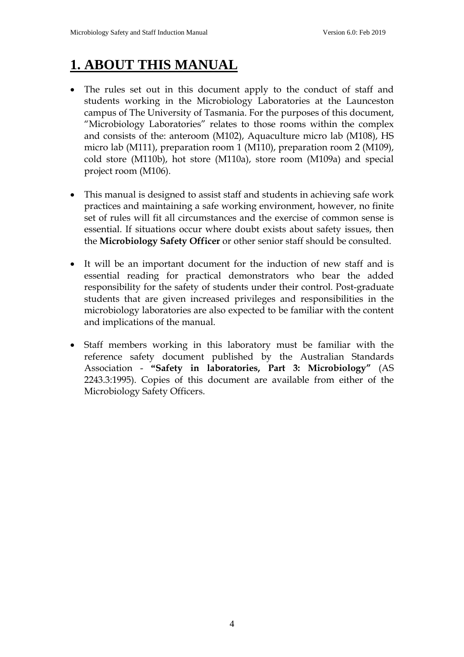## **1. ABOUT THIS MANUAL**

- The rules set out in this document apply to the conduct of staff and students working in the Microbiology Laboratories at the Launceston campus of The University of Tasmania. For the purposes of this document, "Microbiology Laboratories" relates to those rooms within the complex and consists of the: anteroom (M102), Aquaculture micro lab (M108), HS micro lab (M111), preparation room 1 (M110), preparation room 2 (M109), cold store (M110b), hot store (M110a), store room (M109a) and special project room (M106).
- This manual is designed to assist staff and students in achieving safe work practices and maintaining a safe working environment, however, no finite set of rules will fit all circumstances and the exercise of common sense is essential. If situations occur where doubt exists about safety issues, then the **Microbiology Safety Officer** or other senior staff should be consulted.
- It will be an important document for the induction of new staff and is essential reading for practical demonstrators who bear the added responsibility for the safety of students under their control. Post-graduate students that are given increased privileges and responsibilities in the microbiology laboratories are also expected to be familiar with the content and implications of the manual.
- Staff members working in this laboratory must be familiar with the reference safety document published by the Australian Standards Association - **"Safety in laboratories, Part 3: Microbiology"** (AS 2243.3:1995). Copies of this document are available from either of the Microbiology Safety Officers.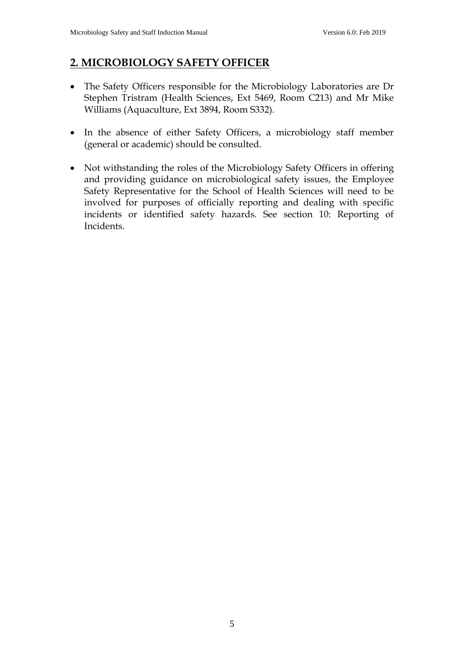## **2. MICROBIOLOGY SAFETY OFFICER**

- The Safety Officers responsible for the Microbiology Laboratories are Dr Stephen Tristram (Health Sciences, Ext 5469, Room C213) and Mr Mike Williams (Aquaculture, Ext 3894, Room S332).
- In the absence of either Safety Officers, a microbiology staff member (general or academic) should be consulted.
- Not withstanding the roles of the Microbiology Safety Officers in offering and providing guidance on microbiological safety issues, the Employee Safety Representative for the School of Health Sciences will need to be involved for purposes of officially reporting and dealing with specific incidents or identified safety hazards. See section 10: Reporting of Incidents.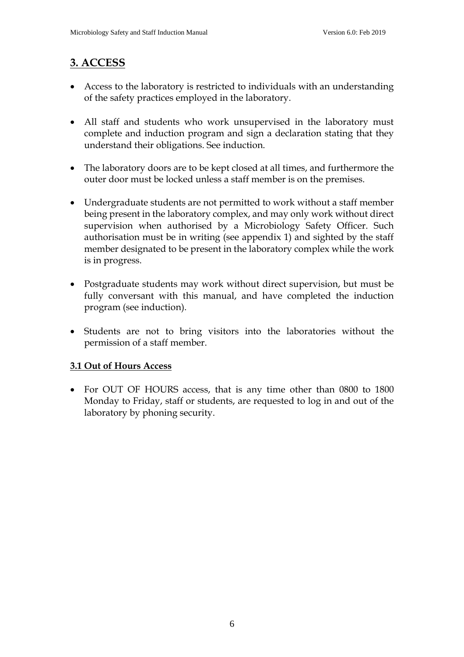## **3. ACCESS**

- Access to the laboratory is restricted to individuals with an understanding of the safety practices employed in the laboratory.
- All staff and students who work unsupervised in the laboratory must complete and induction program and sign a declaration stating that they understand their obligations. See induction.
- The laboratory doors are to be kept closed at all times, and furthermore the outer door must be locked unless a staff member is on the premises.
- Undergraduate students are not permitted to work without a staff member being present in the laboratory complex, and may only work without direct supervision when authorised by a Microbiology Safety Officer. Such authorisation must be in writing (see appendix 1) and sighted by the staff member designated to be present in the laboratory complex while the work is in progress.
- Postgraduate students may work without direct supervision, but must be fully conversant with this manual, and have completed the induction program (see induction).
- Students are not to bring visitors into the laboratories without the permission of a staff member.

#### **3.1 Out of Hours Access**

• For OUT OF HOURS access, that is any time other than 0800 to 1800 Monday to Friday, staff or students, are requested to log in and out of the laboratory by phoning security.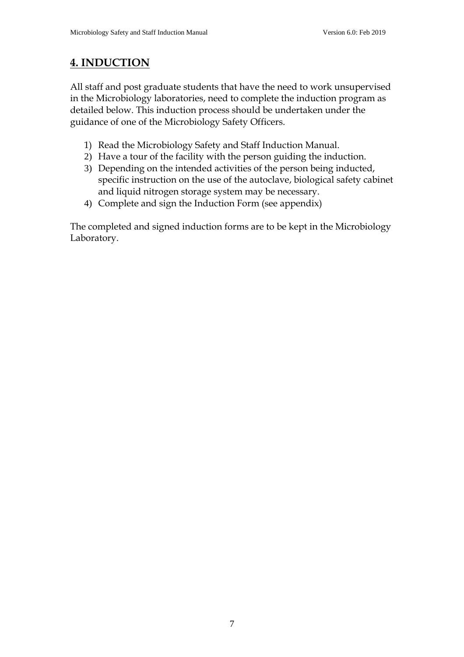## **4. INDUCTION**

All staff and post graduate students that have the need to work unsupervised in the Microbiology laboratories, need to complete the induction program as detailed below. This induction process should be undertaken under the guidance of one of the Microbiology Safety Officers.

- 1) Read the Microbiology Safety and Staff Induction Manual.
- 2) Have a tour of the facility with the person guiding the induction.
- 3) Depending on the intended activities of the person being inducted, specific instruction on the use of the autoclave, biological safety cabinet and liquid nitrogen storage system may be necessary.
- 4) Complete and sign the Induction Form (see appendix)

The completed and signed induction forms are to be kept in the Microbiology Laboratory.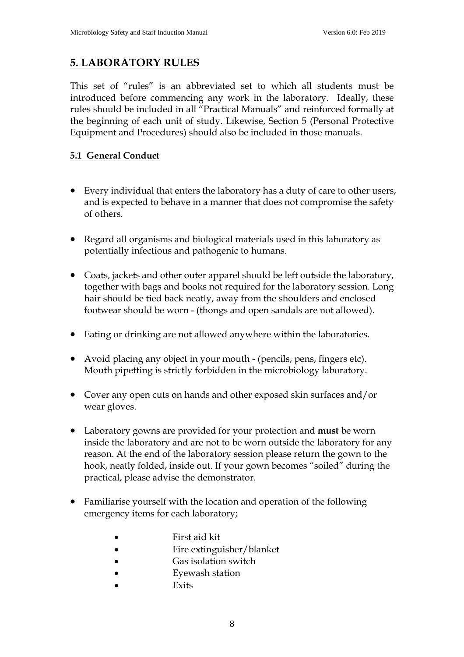## **5. LABORATORY RULES**

This set of "rules" is an abbreviated set to which all students must be introduced before commencing any work in the laboratory. Ideally, these rules should be included in all "Practical Manuals" and reinforced formally at the beginning of each unit of study. Likewise, Section 5 (Personal Protective Equipment and Procedures) should also be included in those manuals.

#### **5.1 General Conduct**

- Every individual that enters the laboratory has a duty of care to other users, and is expected to behave in a manner that does not compromise the safety of others.
- Regard all organisms and biological materials used in this laboratory as potentially infectious and pathogenic to humans.
- Coats, jackets and other outer apparel should be left outside the laboratory, together with bags and books not required for the laboratory session. Long hair should be tied back neatly, away from the shoulders and enclosed footwear should be worn - (thongs and open sandals are not allowed).
- Eating or drinking are not allowed anywhere within the laboratories.
- Avoid placing any object in your mouth (pencils, pens, fingers etc). Mouth pipetting is strictly forbidden in the microbiology laboratory.
- Cover any open cuts on hands and other exposed skin surfaces and/or wear gloves.
- Laboratory gowns are provided for your protection and **must** be worn inside the laboratory and are not to be worn outside the laboratory for any reason. At the end of the laboratory session please return the gown to the hook, neatly folded, inside out. If your gown becomes "soiled" during the practical, please advise the demonstrator.
- Familiarise yourself with the location and operation of the following emergency items for each laboratory;
	- First aid kit
	- Fire extinguisher/blanket
	- Gas isolation switch
	- Eyewash station
	- **Exits**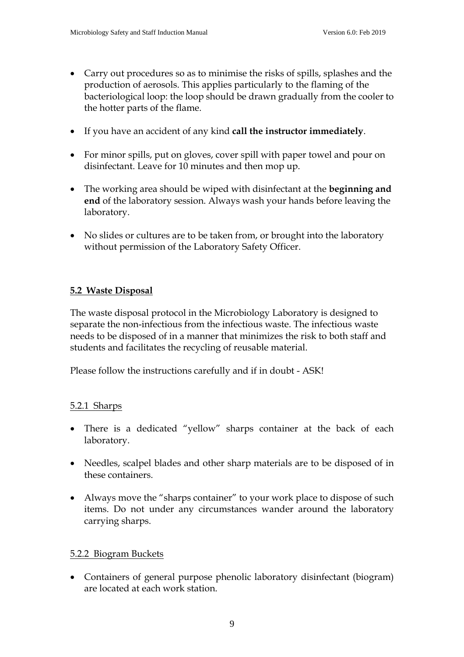- Carry out procedures so as to minimise the risks of spills, splashes and the production of aerosols. This applies particularly to the flaming of the bacteriological loop: the loop should be drawn gradually from the cooler to the hotter parts of the flame.
- If you have an accident of any kind **call the instructor immediately**.
- For minor spills, put on gloves, cover spill with paper towel and pour on disinfectant. Leave for 10 minutes and then mop up.
- The working area should be wiped with disinfectant at the **beginning and end** of the laboratory session. Always wash your hands before leaving the laboratory.
- No slides or cultures are to be taken from, or brought into the laboratory without permission of the Laboratory Safety Officer.

#### **5.2 Waste Disposal**

The waste disposal protocol in the Microbiology Laboratory is designed to separate the non-infectious from the infectious waste. The infectious waste needs to be disposed of in a manner that minimizes the risk to both staff and students and facilitates the recycling of reusable material.

Please follow the instructions carefully and if in doubt - ASK!

#### 5.2.1 Sharps

- There is a dedicated "yellow" sharps container at the back of each laboratory.
- Needles, scalpel blades and other sharp materials are to be disposed of in these containers.
- Always move the "sharps container" to your work place to dispose of such items. Do not under any circumstances wander around the laboratory carrying sharps.

#### 5.2.2 Biogram Buckets

• Containers of general purpose phenolic laboratory disinfectant (biogram) are located at each work station.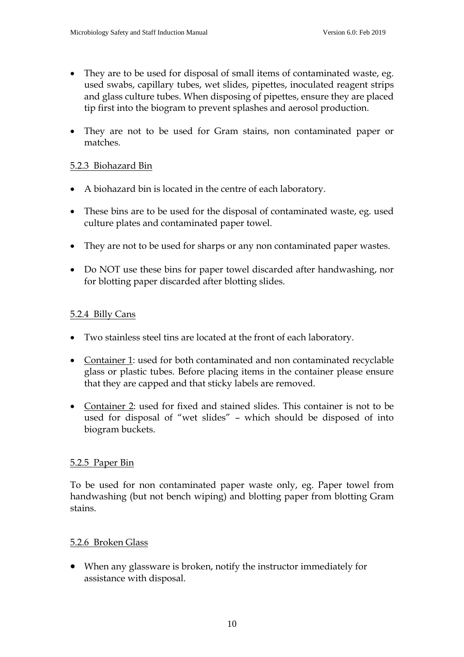- They are to be used for disposal of small items of contaminated waste, eg. used swabs, capillary tubes, wet slides, pipettes, inoculated reagent strips and glass culture tubes. When disposing of pipettes, ensure they are placed tip first into the biogram to prevent splashes and aerosol production.
- They are not to be used for Gram stains, non contaminated paper or matches.

#### 5.2.3 Biohazard Bin

- A biohazard bin is located in the centre of each laboratory.
- These bins are to be used for the disposal of contaminated waste, eg. used culture plates and contaminated paper towel.
- They are not to be used for sharps or any non contaminated paper wastes.
- Do NOT use these bins for paper towel discarded after handwashing, nor for blotting paper discarded after blotting slides.

#### 5.2.4 Billy Cans

- Two stainless steel tins are located at the front of each laboratory.
- Container 1: used for both contaminated and non contaminated recyclable glass or plastic tubes. Before placing items in the container please ensure that they are capped and that sticky labels are removed.
- Container 2: used for fixed and stained slides. This container is not to be used for disposal of "wet slides" – which should be disposed of into biogram buckets.

#### 5.2.5 Paper Bin

To be used for non contaminated paper waste only, eg. Paper towel from handwashing (but not bench wiping) and blotting paper from blotting Gram stains.

#### 5.2.6 Broken Glass

• When any glassware is broken, notify the instructor immediately for assistance with disposal.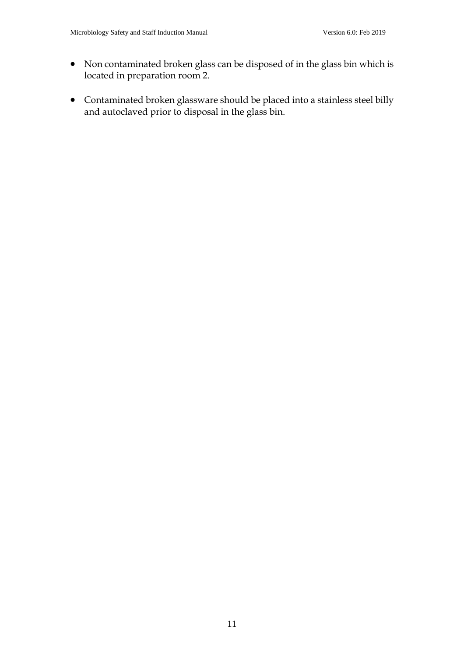- Non contaminated broken glass can be disposed of in the glass bin which is located in preparation room 2.
- Contaminated broken glassware should be placed into a stainless steel billy and autoclaved prior to disposal in the glass bin.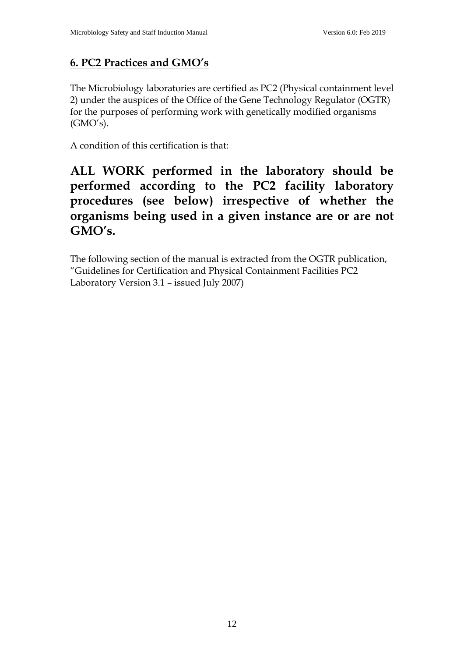## **6. PC2 Practices and GMO's**

The Microbiology laboratories are certified as PC2 (Physical containment level 2) under the auspices of the Office of the Gene Technology Regulator (OGTR) for the purposes of performing work with genetically modified organisms  $(GMO's)$ .

A condition of this certification is that:

## **ALL WORK performed in the laboratory should be performed according to the PC2 facility laboratory procedures (see below) irrespective of whether the organisms being used in a given instance are or are not GMO's.**

The following section of the manual is extracted from the OGTR publication, "Guidelines for Certification and Physical Containment Facilities PC2 Laboratory Version 3.1 – issued July 2007)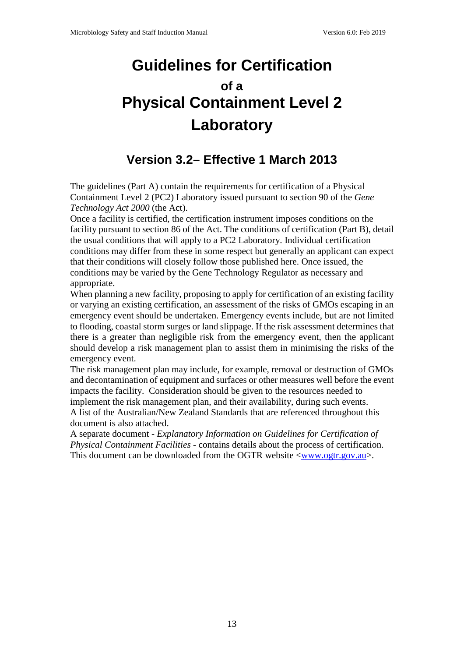## **Guidelines for Certification of a Physical Containment Level 2 Laboratory**

## **Version 3.2– Effective 1 March 2013**

The guidelines (Part A) contain the requirements for certification of a Physical Containment Level 2 (PC2) Laboratory issued pursuant to section 90 of the *Gene Technology Act 2000* (the Act).

Once a facility is certified, the certification instrument imposes conditions on the facility pursuant to section 86 of the Act. The conditions of certification (Part B), detail the usual conditions that will apply to a PC2 Laboratory. Individual certification conditions may differ from these in some respect but generally an applicant can expect that their conditions will closely follow those published here. Once issued, the conditions may be varied by the Gene Technology Regulator as necessary and appropriate.

When planning a new facility, proposing to apply for certification of an existing facility or varying an existing certification, an assessment of the risks of GMOs escaping in an emergency event should be undertaken. Emergency events include, but are not limited to flooding, coastal storm surges or land slippage. If the risk assessment determines that there is a greater than negligible risk from the emergency event, then the applicant should develop a risk management plan to assist them in minimising the risks of the emergency event.

The risk management plan may include, for example, removal or destruction of GMOs and decontamination of equipment and surfaces or other measures well before the event impacts the facility. Consideration should be given to the resources needed to implement the risk management plan, and their availability, during such events. A list of the Australian/New Zealand Standards that are referenced throughout this document is also attached.

A separate document - *Explanatory Information on Guidelines for Certification of Physical Containment Facilities* - contains details about the process of certification. This document can be downloaded from the OGTR website  $\langle www.ogtr.gov.au\rangle$ .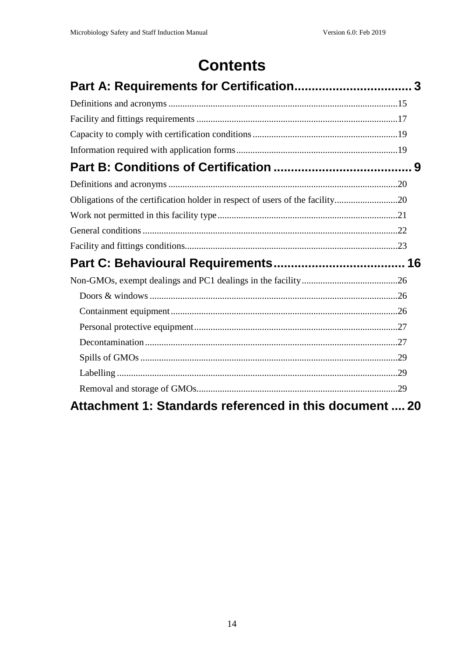## **Contents**

| Obligations of the certification holder in respect of users of the facility20 |  |
|-------------------------------------------------------------------------------|--|
|                                                                               |  |
|                                                                               |  |
|                                                                               |  |
|                                                                               |  |
|                                                                               |  |
|                                                                               |  |
|                                                                               |  |
|                                                                               |  |
|                                                                               |  |
|                                                                               |  |
|                                                                               |  |
|                                                                               |  |
| Attachment 1: Standards referenced in this document  20                       |  |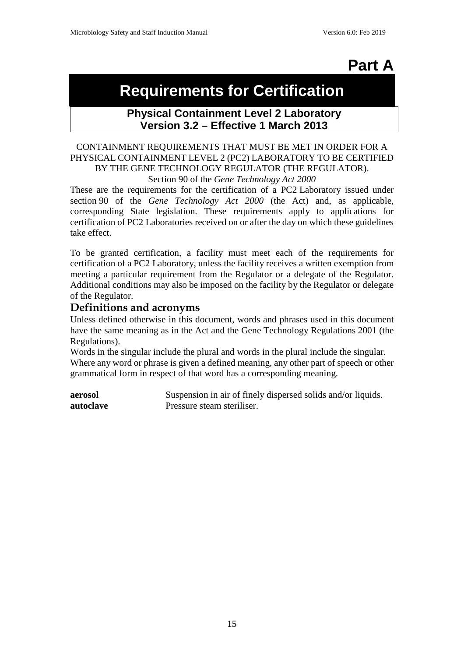## **Part A**

## **Requirements for Certification**

#### **Physical Containment Level 2 Laboratory Version 3.2 – Effective 1 March 2013**

#### CONTAINMENT REQUIREMENTS THAT MUST BE MET IN ORDER FOR A PHYSICAL CONTAINMENT LEVEL 2 (PC2) LABORATORY TO BE CERTIFIED BY THE GENE TECHNOLOGY REGULATOR (THE REGULATOR).

Section 90 of the *Gene Technology Act 2000*

These are the requirements for the certification of a PC2 Laboratory issued under section 90 of the *Gene Technology Act 2000* (the Act) and, as applicable, corresponding State legislation. These requirements apply to applications for certification of PC2 Laboratories received on or after the day on which these guidelines take effect.

To be granted certification, a facility must meet each of the requirements for certification of a PC2 Laboratory, unless the facility receives a written exemption from meeting a particular requirement from the Regulator or a delegate of the Regulator. Additional conditions may also be imposed on the facility by the Regulator or delegate of the Regulator.

#### **Definitions and acronyms**

Unless defined otherwise in this document, words and phrases used in this document have the same meaning as in the Act and the Gene Technology Regulations 2001 (the Regulations).

Words in the singular include the plural and words in the plural include the singular. Where any word or phrase is given a defined meaning, any other part of speech or other grammatical form in respect of that word has a corresponding meaning.

**aerosol** Suspension in air of finely dispersed solids and/or liquids. **autoclave** Pressure steam steriliser.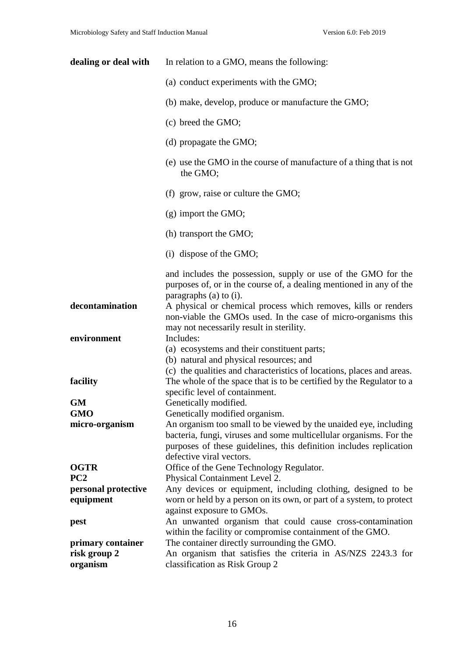| dealing or deal with | In relation to a GMO, means the following:                                                                                                                                                                                               |
|----------------------|------------------------------------------------------------------------------------------------------------------------------------------------------------------------------------------------------------------------------------------|
|                      | (a) conduct experiments with the GMO;                                                                                                                                                                                                    |
|                      | (b) make, develop, produce or manufacture the GMO;                                                                                                                                                                                       |
|                      | (c) breed the GMO;                                                                                                                                                                                                                       |
|                      | (d) propagate the GMO;                                                                                                                                                                                                                   |
|                      | (e) use the GMO in the course of manufacture of a thing that is not<br>the GMO;                                                                                                                                                          |
|                      | (f) grow, raise or culture the GMO;                                                                                                                                                                                                      |
|                      | $(g)$ import the GMO;                                                                                                                                                                                                                    |
|                      | (h) transport the GMO;                                                                                                                                                                                                                   |
|                      | $(i)$ dispose of the GMO;                                                                                                                                                                                                                |
|                      | and includes the possession, supply or use of the GMO for the<br>purposes of, or in the course of, a dealing mentioned in any of the<br>paragraphs (a) to (i).                                                                           |
| decontamination      | A physical or chemical process which removes, kills or renders<br>non-viable the GMOs used. In the case of micro-organisms this<br>may not necessarily result in sterility.                                                              |
| environment          | Includes:<br>(a) ecosystems and their constituent parts;<br>(b) natural and physical resources; and<br>(c) the qualities and characteristics of locations, places and areas.                                                             |
| facility             | The whole of the space that is to be certified by the Regulator to a<br>specific level of containment.                                                                                                                                   |
| GM                   | Genetically modified.                                                                                                                                                                                                                    |
| <b>GMO</b>           | Genetically modified organism.                                                                                                                                                                                                           |
| micro-organism       | An organism too small to be viewed by the unaided eye, including<br>bacteria, fungi, viruses and some multicellular organisms. For the<br>purposes of these guidelines, this definition includes replication<br>defective viral vectors. |
| <b>OGTR</b>          | Office of the Gene Technology Regulator.                                                                                                                                                                                                 |
| PC <sub>2</sub>      | Physical Containment Level 2.                                                                                                                                                                                                            |
| personal protective  | Any devices or equipment, including clothing, designed to be                                                                                                                                                                             |
| equipment            | worn or held by a person on its own, or part of a system, to protect<br>against exposure to GMOs.                                                                                                                                        |
| pest                 | An unwanted organism that could cause cross-contamination<br>within the facility or compromise containment of the GMO.                                                                                                                   |
| primary container    | The container directly surrounding the GMO.                                                                                                                                                                                              |
| risk group 2         | An organism that satisfies the criteria in AS/NZS 2243.3 for                                                                                                                                                                             |
| organism             | classification as Risk Group 2                                                                                                                                                                                                           |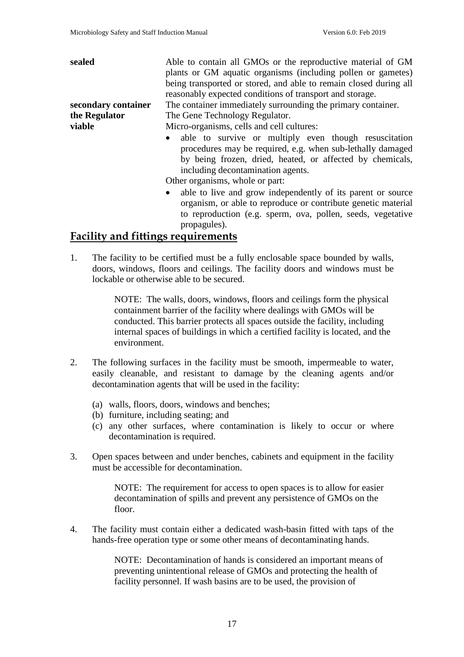| sealed              | Able to contain all GMOs or the reproductive material of GM                                                                                                                                                             |
|---------------------|-------------------------------------------------------------------------------------------------------------------------------------------------------------------------------------------------------------------------|
|                     | plants or GM aquatic organisms (including pollen or gametes)                                                                                                                                                            |
|                     | being transported or stored, and able to remain closed during all                                                                                                                                                       |
|                     | reasonably expected conditions of transport and storage.                                                                                                                                                                |
| secondary container | The container immediately surrounding the primary container.                                                                                                                                                            |
| the Regulator       | The Gene Technology Regulator.                                                                                                                                                                                          |
| viable              | Micro-organisms, cells and cell cultures:                                                                                                                                                                               |
|                     | • able to survive or multiply even though resuscitation<br>procedures may be required, e.g. when sub-lethally damaged<br>by being frozen, dried, heated, or affected by chemicals,<br>including decontamination agents. |
|                     | Other organisms, whole or part:                                                                                                                                                                                         |
|                     | able to live and grow independently of its parent or source<br>organism, or able to reproduce or contribute genetic material                                                                                            |

## to reproduction (e.g. sperm, ova, pollen, seeds, vegetative propagules).

#### **Facility and fittings requirements**

1. The facility to be certified must be a fully enclosable space bounded by walls, doors, windows, floors and ceilings. The facility doors and windows must be lockable or otherwise able to be secured.

> NOTE: The walls, doors, windows, floors and ceilings form the physical containment barrier of the facility where dealings with GMOs will be conducted. This barrier protects all spaces outside the facility, including internal spaces of buildings in which a certified facility is located, and the environment.

- 2. The following surfaces in the facility must be smooth, impermeable to water, easily cleanable, and resistant to damage by the cleaning agents and/or decontamination agents that will be used in the facility:
	- (a) walls, floors, doors, windows and benches;
	- (b) furniture, including seating; and
	- (c) any other surfaces, where contamination is likely to occur or where decontamination is required.
- 3. Open spaces between and under benches, cabinets and equipment in the facility must be accessible for decontamination.

NOTE: The requirement for access to open spaces is to allow for easier decontamination of spills and prevent any persistence of GMOs on the floor.

4. The facility must contain either a dedicated wash-basin fitted with taps of the hands-free operation type or some other means of decontaminating hands.

> NOTE: Decontamination of hands is considered an important means of preventing unintentional release of GMOs and protecting the health of facility personnel. If wash basins are to be used, the provision of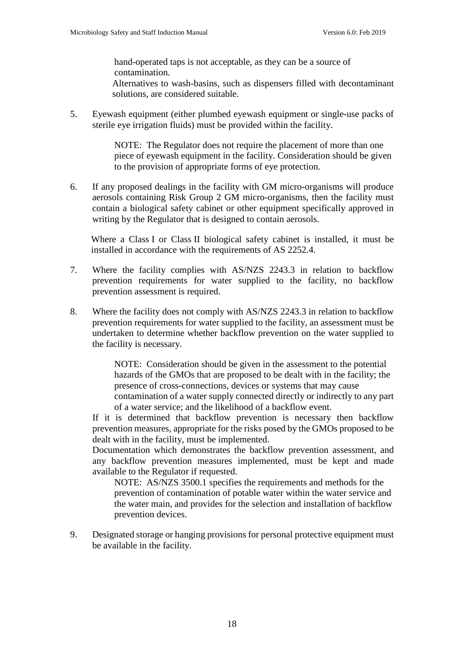hand-operated taps is not acceptable, as they can be a source of contamination.

Alternatives to wash-basins, such as dispensers filled with decontaminant solutions, are considered suitable.

5. Eyewash equipment (either plumbed eyewash equipment or single-use packs of sterile eye irrigation fluids) must be provided within the facility.

> NOTE: The Regulator does not require the placement of more than one piece of eyewash equipment in the facility. Consideration should be given to the provision of appropriate forms of eye protection.

6. If any proposed dealings in the facility with GM micro-organisms will produce aerosols containing Risk Group 2 GM micro-organisms, then the facility must contain a biological safety cabinet or other equipment specifically approved in writing by the Regulator that is designed to contain aerosols.

Where a Class I or Class II biological safety cabinet is installed, it must be installed in accordance with the requirements of AS 2252.4.

- 7. Where the facility complies with AS/NZS 2243.3 in relation to backflow prevention requirements for water supplied to the facility, no backflow prevention assessment is required.
- 8. Where the facility does not comply with AS/NZS 2243.3 in relation to backflow prevention requirements for water supplied to the facility, an assessment must be undertaken to determine whether backflow prevention on the water supplied to the facility is necessary.

NOTE: Consideration should be given in the assessment to the potential hazards of the GMOs that are proposed to be dealt with in the facility; the presence of cross-connections, devices or systems that may cause contamination of a water supply connected directly or indirectly to any part of a water service; and the likelihood of a backflow event.

If it is determined that backflow prevention is necessary then backflow prevention measures, appropriate for the risks posed by the GMOs proposed to be dealt with in the facility, must be implemented.

Documentation which demonstrates the backflow prevention assessment, and any backflow prevention measures implemented, must be kept and made available to the Regulator if requested.

NOTE: AS/NZS 3500.1 specifies the requirements and methods for the prevention of contamination of potable water within the water service and the water main, and provides for the selection and installation of backflow prevention devices.

9. Designated storage or hanging provisions for personal protective equipment must be available in the facility.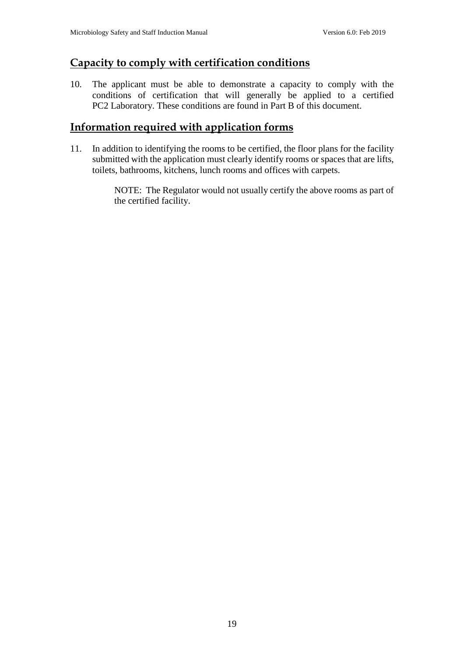#### **Capacity to comply with certification conditions**

10. The applicant must be able to demonstrate a capacity to comply with the conditions of certification that will generally be applied to a certified PC2 Laboratory. These conditions are found in Part B of this document.

#### **Information required with application forms**

11. In addition to identifying the rooms to be certified, the floor plans for the facility submitted with the application must clearly identify rooms or spaces that are lifts, toilets, bathrooms, kitchens, lunch rooms and offices with carpets.

> NOTE: The Regulator would not usually certify the above rooms as part of the certified facility.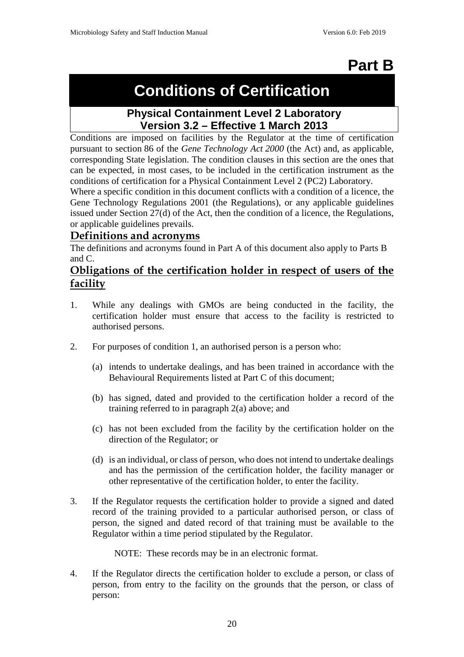## **Part B**

## **Conditions of Certification**

### **Physical Containment Level 2 Laboratory Version 3.2 – Effective 1 March 2013**

Conditions are imposed on facilities by the Regulator at the time of certification pursuant to section 86 of the *Gene Technology Act 2000* (the Act) and, as applicable, corresponding State legislation. The condition clauses in this section are the ones that can be expected, in most cases, to be included in the certification instrument as the conditions of certification for a Physical Containment Level 2 (PC2) Laboratory.

Where a specific condition in this document conflicts with a condition of a licence, the Gene Technology Regulations 2001 (the Regulations), or any applicable guidelines issued under Section 27(d) of the Act, then the condition of a licence, the Regulations, or applicable guidelines prevails.

#### **Definitions and acronyms**

The definitions and acronyms found in Part A of this document also apply to Parts B and C.

#### **Obligations of the certification holder in respect of users of the facility**

- 1. While any dealings with GMOs are being conducted in the facility, the certification holder must ensure that access to the facility is restricted to authorised persons.
- 2. For purposes of condition 1, an authorised person is a person who:
	- (a) intends to undertake dealings, and has been trained in accordance with the Behavioural Requirements listed at Part C of this document;
	- (b) has signed, dated and provided to the certification holder a record of the training referred to in paragraph 2(a) above; and
	- (c) has not been excluded from the facility by the certification holder on the direction of the Regulator; or
	- (d) is an individual, or class of person, who does not intend to undertake dealings and has the permission of the certification holder, the facility manager or other representative of the certification holder, to enter the facility.
- 3. If the Regulator requests the certification holder to provide a signed and dated record of the training provided to a particular authorised person, or class of person, the signed and dated record of that training must be available to the Regulator within a time period stipulated by the Regulator.

NOTE: These records may be in an electronic format.

4. If the Regulator directs the certification holder to exclude a person, or class of person, from entry to the facility on the grounds that the person, or class of person: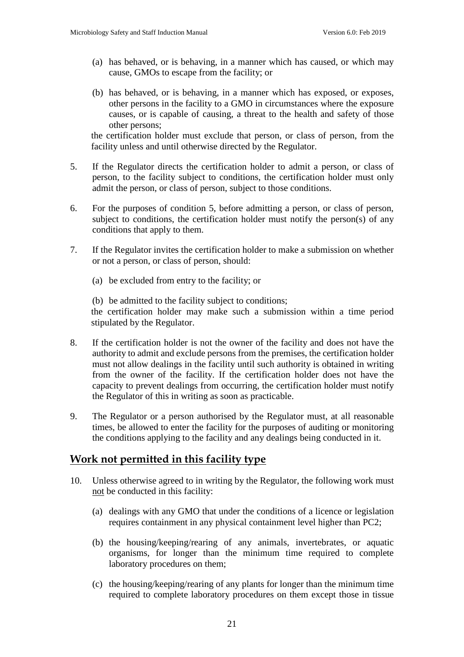- (a) has behaved, or is behaving, in a manner which has caused, or which may cause, GMOs to escape from the facility; or
- (b) has behaved, or is behaving, in a manner which has exposed, or exposes, other persons in the facility to a GMO in circumstances where the exposure causes, or is capable of causing, a threat to the health and safety of those other persons;

the certification holder must exclude that person, or class of person, from the facility unless and until otherwise directed by the Regulator.

- 5. If the Regulator directs the certification holder to admit a person, or class of person, to the facility subject to conditions, the certification holder must only admit the person, or class of person, subject to those conditions.
- 6. For the purposes of condition 5, before admitting a person, or class of person, subject to conditions, the certification holder must notify the person(s) of any conditions that apply to them.
- 7. If the Regulator invites the certification holder to make a submission on whether or not a person, or class of person, should:
	- (a) be excluded from entry to the facility; or

(b) be admitted to the facility subject to conditions;

the certification holder may make such a submission within a time period stipulated by the Regulator.

- 8. If the certification holder is not the owner of the facility and does not have the authority to admit and exclude persons from the premises, the certification holder must not allow dealings in the facility until such authority is obtained in writing from the owner of the facility. If the certification holder does not have the capacity to prevent dealings from occurring, the certification holder must notify the Regulator of this in writing as soon as practicable.
- 9. The Regulator or a person authorised by the Regulator must, at all reasonable times, be allowed to enter the facility for the purposes of auditing or monitoring the conditions applying to the facility and any dealings being conducted in it.

#### **Work not permitted in this facility type**

- 10. Unless otherwise agreed to in writing by the Regulator, the following work must not be conducted in this facility:
	- (a) dealings with any GMO that under the conditions of a licence or legislation requires containment in any physical containment level higher than PC2;
	- (b) the housing/keeping/rearing of any animals, invertebrates, or aquatic organisms, for longer than the minimum time required to complete laboratory procedures on them;
	- (c) the housing/keeping/rearing of any plants for longer than the minimum time required to complete laboratory procedures on them except those in tissue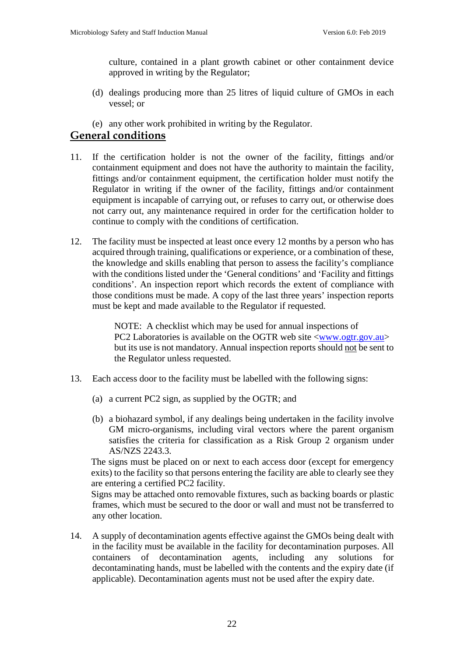culture, contained in a plant growth cabinet or other containment device approved in writing by the Regulator;

- (d) dealings producing more than 25 litres of liquid culture of GMOs in each vessel; or
- (e) any other work prohibited in writing by the Regulator.

#### **General conditions**

- 11. If the certification holder is not the owner of the facility, fittings and/or containment equipment and does not have the authority to maintain the facility, fittings and/or containment equipment, the certification holder must notify the Regulator in writing if the owner of the facility, fittings and/or containment equipment is incapable of carrying out, or refuses to carry out, or otherwise does not carry out, any maintenance required in order for the certification holder to continue to comply with the conditions of certification.
- 12. The facility must be inspected at least once every 12 months by a person who has acquired through training, qualifications or experience, or a combination of these, the knowledge and skills enabling that person to assess the facility's compliance with the conditions listed under the 'General conditions' and 'Facility and fittings conditions'. An inspection report which records the extent of compliance with those conditions must be made. A copy of the last three years' inspection reports must be kept and made available to the Regulator if requested.

NOTE: A checklist which may be used for annual inspections of PC2 Laboratories is available on the OGTR web site  $\langle$ www.ogtr.gov.au> but its use is not mandatory. Annual inspection reports should not be sent to the Regulator unless requested.

- 13. Each access door to the facility must be labelled with the following signs:
	- (a) a current PC2 sign, as supplied by the OGTR; and
	- (b) a biohazard symbol, if any dealings being undertaken in the facility involve GM micro-organisms, including viral vectors where the parent organism satisfies the criteria for classification as a Risk Group 2 organism under AS/NZS 2243.3.

The signs must be placed on or next to each access door (except for emergency exits) to the facility so that persons entering the facility are able to clearly see they are entering a certified PC2 facility.

Signs may be attached onto removable fixtures, such as backing boards or plastic frames, which must be secured to the door or wall and must not be transferred to any other location.

14. A supply of decontamination agents effective against the GMOs being dealt with in the facility must be available in the facility for decontamination purposes. All containers of decontamination agents, including any solutions for decontaminating hands, must be labelled with the contents and the expiry date (if applicable). Decontamination agents must not be used after the expiry date.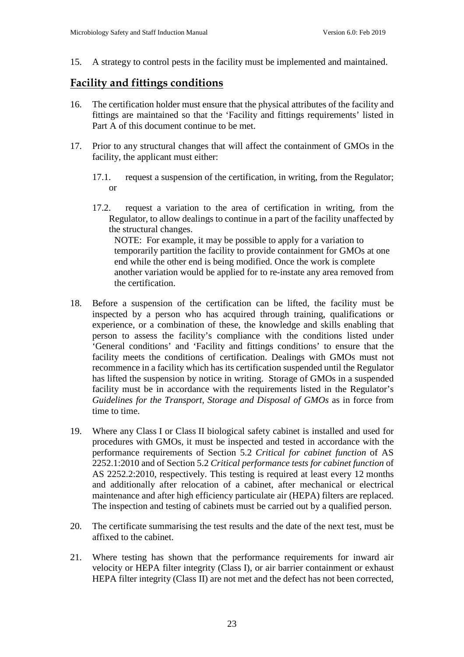15. A strategy to control pests in the facility must be implemented and maintained.

#### **Facility and fittings conditions**

- 16. The certification holder must ensure that the physical attributes of the facility and fittings are maintained so that the 'Facility and fittings requirements' listed in Part A of this document continue to be met.
- 17. Prior to any structural changes that will affect the containment of GMOs in the facility, the applicant must either:
	- 17.1. request a suspension of the certification, in writing, from the Regulator; or
	- 17.2. request a variation to the area of certification in writing, from the Regulator, to allow dealings to continue in a part of the facility unaffected by the structural changes. NOTE: For example, it may be possible to apply for a variation to temporarily partition the facility to provide containment for GMOs at one end while the other end is being modified. Once the work is complete another variation would be applied for to re-instate any area removed from the certification.
- 18. Before a suspension of the certification can be lifted, the facility must be inspected by a person who has acquired through training, qualifications or experience, or a combination of these, the knowledge and skills enabling that person to assess the facility's compliance with the conditions listed under 'General conditions' and 'Facility and fittings conditions' to ensure that the facility meets the conditions of certification. Dealings with GMOs must not recommence in a facility which has its certification suspended until the Regulator has lifted the suspension by notice in writing. Storage of GMOs in a suspended facility must be in accordance with the requirements listed in the Regulator's *Guidelines for the Transport, Storage and Disposal of GMOs* as in force from time to time.
- 19. Where any Class I or Class II biological safety cabinet is installed and used for procedures with GMOs, it must be inspected and tested in accordance with the performance requirements of Section 5.2 *Critical for cabinet function* of AS 2252.1:2010 and of Section 5.2 *Critical performance tests for cabinet function* of AS 2252.2:2010, respectively. This testing is required at least every 12 months and additionally after relocation of a cabinet, after mechanical or electrical maintenance and after high efficiency particulate air (HEPA) filters are replaced. The inspection and testing of cabinets must be carried out by a qualified person.
- 20. The certificate summarising the test results and the date of the next test, must be affixed to the cabinet.
- 21. Where testing has shown that the performance requirements for inward air velocity or HEPA filter integrity (Class I), or air barrier containment or exhaust HEPA filter integrity (Class II) are not met and the defect has not been corrected,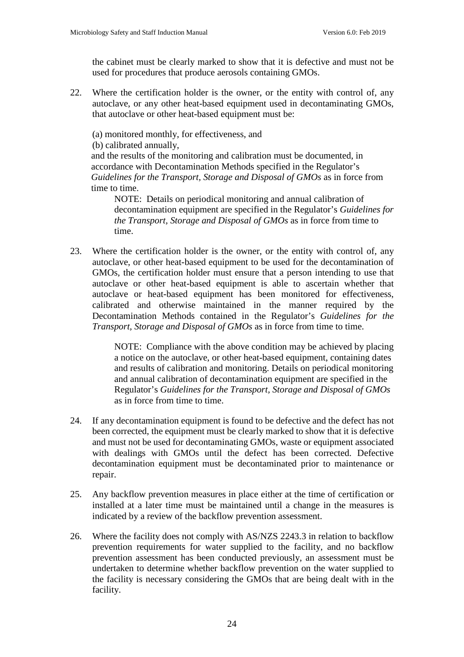the cabinet must be clearly marked to show that it is defective and must not be used for procedures that produce aerosols containing GMOs.

22. Where the certification holder is the owner, or the entity with control of, any autoclave, or any other heat-based equipment used in decontaminating GMOs, that autoclave or other heat-based equipment must be:

(a) monitored monthly, for effectiveness, and

(b) calibrated annually,

and the results of the monitoring and calibration must be documented, in accordance with Decontamination Methods specified in the Regulator's *Guidelines for the Transport, Storage and Disposal of GMOs* as in force from time to time.

NOTE: Details on periodical monitoring and annual calibration of decontamination equipment are specified in the Regulator's *Guidelines for the Transport, Storage and Disposal of GMOs* as in force from time to time.

23. Where the certification holder is the owner, or the entity with control of, any autoclave, or other heat-based equipment to be used for the decontamination of GMOs, the certification holder must ensure that a person intending to use that autoclave or other heat-based equipment is able to ascertain whether that autoclave or heat-based equipment has been monitored for effectiveness, calibrated and otherwise maintained in the manner required by the Decontamination Methods contained in the Regulator's *Guidelines for the Transport, Storage and Disposal of GMOs* as in force from time to time.

> NOTE: Compliance with the above condition may be achieved by placing a notice on the autoclave, or other heat-based equipment, containing dates and results of calibration and monitoring. Details on periodical monitoring and annual calibration of decontamination equipment are specified in the Regulator's *Guidelines for the Transport, Storage and Disposal of GMOs* as in force from time to time.

- 24. If any decontamination equipment is found to be defective and the defect has not been corrected, the equipment must be clearly marked to show that it is defective and must not be used for decontaminating GMOs, waste or equipment associated with dealings with GMOs until the defect has been corrected. Defective decontamination equipment must be decontaminated prior to maintenance or repair.
- 25. Any backflow prevention measures in place either at the time of certification or installed at a later time must be maintained until a change in the measures is indicated by a review of the backflow prevention assessment.
- 26. Where the facility does not comply with AS/NZS 2243.3 in relation to backflow prevention requirements for water supplied to the facility, and no backflow prevention assessment has been conducted previously, an assessment must be undertaken to determine whether backflow prevention on the water supplied to the facility is necessary considering the GMOs that are being dealt with in the facility.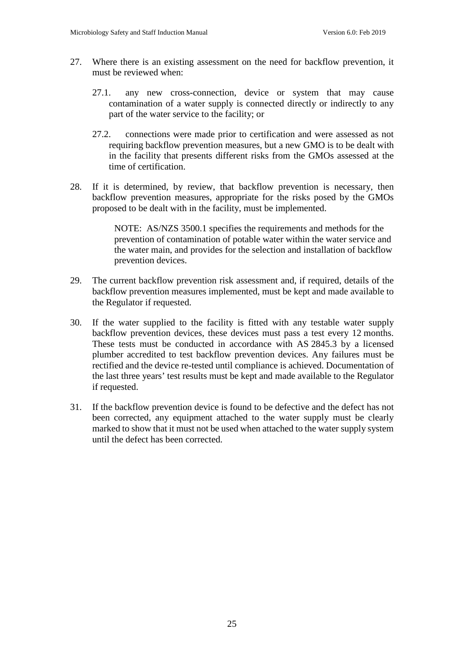- 27. Where there is an existing assessment on the need for backflow prevention, it must be reviewed when:
	- 27.1. any new cross-connection, device or system that may cause contamination of a water supply is connected directly or indirectly to any part of the water service to the facility; or
	- 27.2. connections were made prior to certification and were assessed as not requiring backflow prevention measures, but a new GMO is to be dealt with in the facility that presents different risks from the GMOs assessed at the time of certification.
- 28. If it is determined, by review, that backflow prevention is necessary, then backflow prevention measures, appropriate for the risks posed by the GMOs proposed to be dealt with in the facility, must be implemented.

NOTE: AS/NZS 3500.1 specifies the requirements and methods for the prevention of contamination of potable water within the water service and the water main, and provides for the selection and installation of backflow prevention devices.

- 29. The current backflow prevention risk assessment and, if required, details of the backflow prevention measures implemented, must be kept and made available to the Regulator if requested.
- 30. If the water supplied to the facility is fitted with any testable water supply backflow prevention devices, these devices must pass a test every 12 months. These tests must be conducted in accordance with AS 2845.3 by a licensed plumber accredited to test backflow prevention devices. Any failures must be rectified and the device re-tested until compliance is achieved. Documentation of the last three years' test results must be kept and made available to the Regulator if requested.
- 31. If the backflow prevention device is found to be defective and the defect has not been corrected, any equipment attached to the water supply must be clearly marked to show that it must not be used when attached to the water supply system until the defect has been corrected.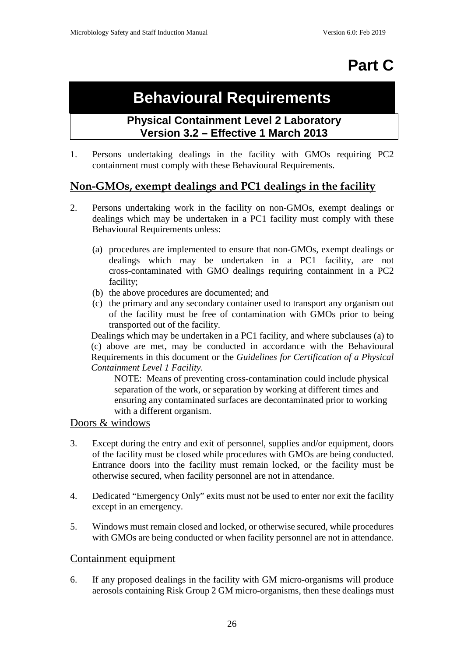## **Part C**

## **Behavioural Requirements**

### **Physical Containment Level 2 Laboratory Version 3.2 – Effective 1 March 2013**

1. Persons undertaking dealings in the facility with GMOs requiring PC2 containment must comply with these Behavioural Requirements.

### **Non-GMOs, exempt dealings and PC1 dealings in the facility**

- 2. Persons undertaking work in the facility on non-GMOs, exempt dealings or dealings which may be undertaken in a PC1 facility must comply with these Behavioural Requirements unless:
	- (a) procedures are implemented to ensure that non-GMOs, exempt dealings or dealings which may be undertaken in a PC1 facility, are not cross-contaminated with GMO dealings requiring containment in a PC2 facility;
	- (b) the above procedures are documented; and
	- (c) the primary and any secondary container used to transport any organism out of the facility must be free of contamination with GMOs prior to being transported out of the facility.

Dealings which may be undertaken in a PC1 facility, and where subclauses (a) to (c) above are met, may be conducted in accordance with the Behavioural Requirements in this document or the *Guidelines for Certification of a Physical Containment Level 1 Facility.*

NOTE: Means of preventing cross-contamination could include physical separation of the work, or separation by working at different times and ensuring any contaminated surfaces are decontaminated prior to working with a different organism.

#### Doors & windows

- 3. Except during the entry and exit of personnel, supplies and/or equipment, doors of the facility must be closed while procedures with GMOs are being conducted. Entrance doors into the facility must remain locked, or the facility must be otherwise secured, when facility personnel are not in attendance.
- 4. Dedicated "Emergency Only" exits must not be used to enter nor exit the facility except in an emergency.
- 5. Windows must remain closed and locked, or otherwise secured, while procedures with GMOs are being conducted or when facility personnel are not in attendance.

#### Containment equipment

6. If any proposed dealings in the facility with GM micro-organisms will produce aerosols containing Risk Group 2 GM micro-organisms, then these dealings must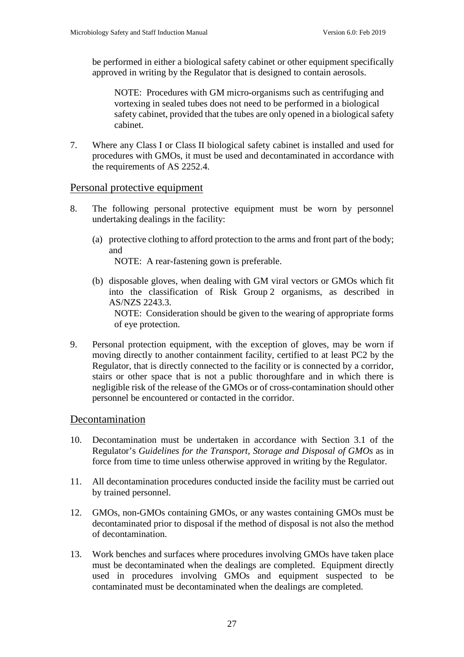be performed in either a biological safety cabinet or other equipment specifically approved in writing by the Regulator that is designed to contain aerosols.

NOTE: Procedures with GM micro-organisms such as centrifuging and vortexing in sealed tubes does not need to be performed in a biological safety cabinet, provided that the tubes are only opened in a biological safety cabinet.

7. Where any Class I or Class II biological safety cabinet is installed and used for procedures with GMOs, it must be used and decontaminated in accordance with the requirements of AS 2252.4.

#### Personal protective equipment

- 8. The following personal protective equipment must be worn by personnel undertaking dealings in the facility:
	- (a) protective clothing to afford protection to the arms and front part of the body; and

NOTE: A rear-fastening gown is preferable.

- (b) disposable gloves, when dealing with GM viral vectors or GMOs which fit into the classification of Risk Group 2 organisms, as described in AS/NZS 2243.3. NOTE: Consideration should be given to the wearing of appropriate forms of eye protection.
- 9. Personal protection equipment, with the exception of gloves, may be worn if moving directly to another containment facility, certified to at least PC2 by the Regulator, that is directly connected to the facility or is connected by a corridor, stairs or other space that is not a public thoroughfare and in which there is negligible risk of the release of the GMOs or of cross-contamination should other personnel be encountered or contacted in the corridor.

#### Decontamination

- 10. Decontamination must be undertaken in accordance with Section 3.1 of the Regulator's *Guidelines for the Transport, Storage and Disposal of GMOs* as in force from time to time unless otherwise approved in writing by the Regulator.
- 11. All decontamination procedures conducted inside the facility must be carried out by trained personnel.
- 12. GMOs, non-GMOs containing GMOs, or any wastes containing GMOs must be decontaminated prior to disposal if the method of disposal is not also the method of decontamination.
- 13. Work benches and surfaces where procedures involving GMOs have taken place must be decontaminated when the dealings are completed. Equipment directly used in procedures involving GMOs and equipment suspected to be contaminated must be decontaminated when the dealings are completed.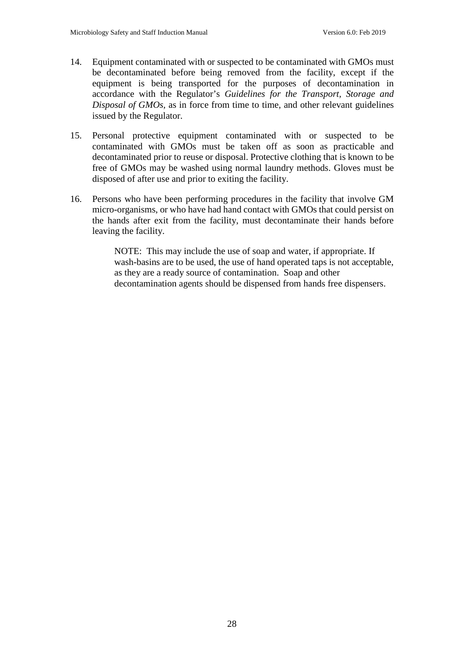- 14. Equipment contaminated with or suspected to be contaminated with GMOs must be decontaminated before being removed from the facility, except if the equipment is being transported for the purposes of decontamination in accordance with the Regulator's *Guidelines for the Transport, Storage and Disposal of GMOs,* as in force from time to time, and other relevant guidelines issued by the Regulator.
- 15. Personal protective equipment contaminated with or suspected to be contaminated with GMOs must be taken off as soon as practicable and decontaminated prior to reuse or disposal. Protective clothing that is known to be free of GMOs may be washed using normal laundry methods. Gloves must be disposed of after use and prior to exiting the facility.
- 16. Persons who have been performing procedures in the facility that involve GM micro-organisms, or who have had hand contact with GMOs that could persist on the hands after exit from the facility, must decontaminate their hands before leaving the facility.

NOTE: This may include the use of soap and water, if appropriate. If wash-basins are to be used, the use of hand operated taps is not acceptable, as they are a ready source of contamination. Soap and other decontamination agents should be dispensed from hands free dispensers.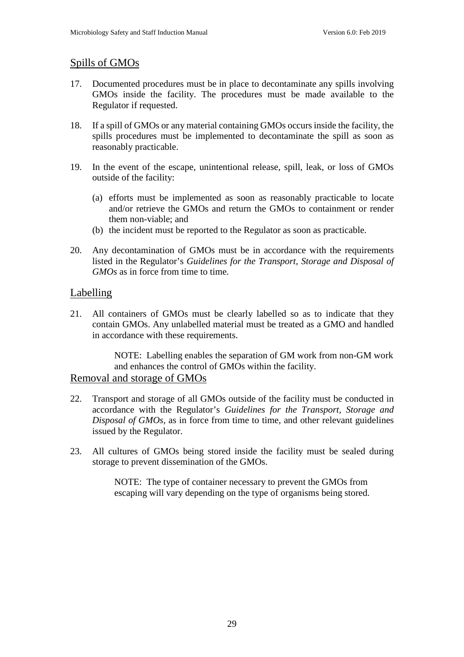#### Spills of GMOs

- 17. Documented procedures must be in place to decontaminate any spills involving GMOs inside the facility. The procedures must be made available to the Regulator if requested.
- 18. If a spill of GMOs or any material containing GMOs occurs inside the facility, the spills procedures must be implemented to decontaminate the spill as soon as reasonably practicable.
- 19. In the event of the escape, unintentional release, spill, leak, or loss of GMOs outside of the facility:
	- (a) efforts must be implemented as soon as reasonably practicable to locate and/or retrieve the GMOs and return the GMOs to containment or render them non-viable; and
	- (b) the incident must be reported to the Regulator as soon as practicable.
- 20. Any decontamination of GMOs must be in accordance with the requirements listed in the Regulator's *Guidelines for the Transport, Storage and Disposal of GMOs* as in force from time to time.

#### Labelling

21. All containers of GMOs must be clearly labelled so as to indicate that they contain GMOs. Any unlabelled material must be treated as a GMO and handled in accordance with these requirements.

> NOTE: Labelling enables the separation of GM work from non-GM work and enhances the control of GMOs within the facility.

#### Removal and storage of GMOs

- 22. Transport and storage of all GMOs outside of the facility must be conducted in accordance with the Regulator's *Guidelines for the Transport, Storage and Disposal of GMOs,* as in force from time to time, and other relevant guidelines issued by the Regulator.
- 23. All cultures of GMOs being stored inside the facility must be sealed during storage to prevent dissemination of the GMOs.

NOTE: The type of container necessary to prevent the GMOs from escaping will vary depending on the type of organisms being stored.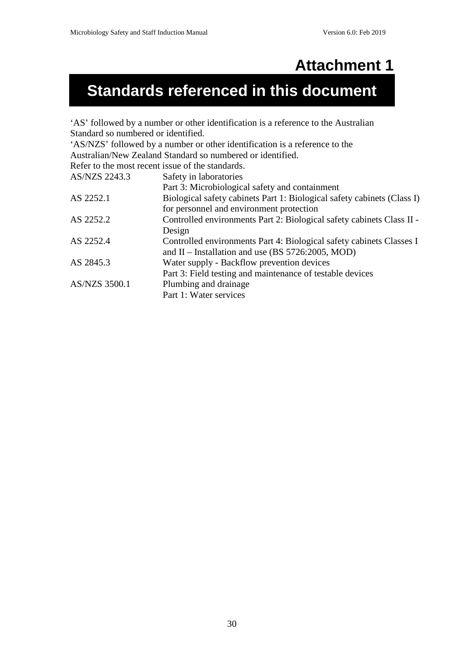## **Attachment 1**

## **Standards referenced in this document**

'AS' followed by a number or other identification is a reference to the Australian Standard so numbered or identified.

'AS/NZS' followed by a number or other identification is a reference to the Australian/New Zealand Standard so numbered or identified.

Refer to the most recent issue of the standards.

| AS/NZS 2243.3        | Safety in laboratories                                                  |
|----------------------|-------------------------------------------------------------------------|
|                      | Part 3: Microbiological safety and containment                          |
| AS 2252.1            | Biological safety cabinets Part 1: Biological safety cabinets (Class I) |
|                      | for personnel and environment protection                                |
| AS 2252.2            | Controlled environments Part 2: Biological safety cabinets Class II -   |
|                      | Design                                                                  |
| AS 2252.4            | Controlled environments Part 4: Biological safety cabinets Classes I    |
|                      | and $II$ – Installation and use (BS 5726:2005, MOD)                     |
| AS 2845.3            | Water supply - Backflow prevention devices                              |
|                      | Part 3: Field testing and maintenance of testable devices               |
| <b>AS/NZS 3500.1</b> | Plumbing and drainage                                                   |
|                      | Part 1: Water services                                                  |
|                      |                                                                         |

30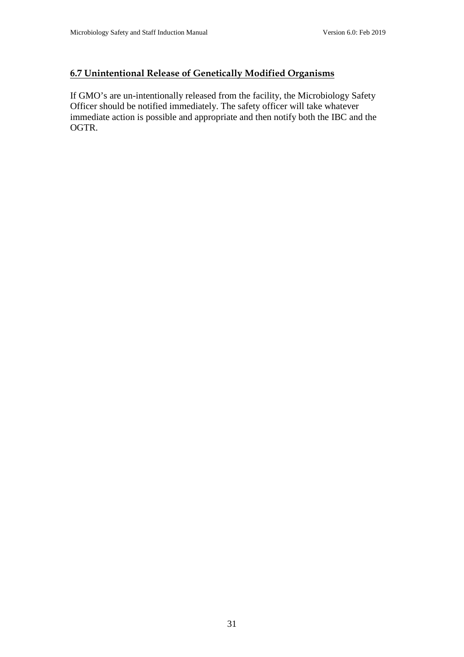#### **6.7 Unintentional Release of Genetically Modified Organisms**

If GMO's are un-intentionally released from the facility, the Microbiology Safety Officer should be notified immediately. The safety officer will take whatever immediate action is possible and appropriate and then notify both the IBC and the OGTR.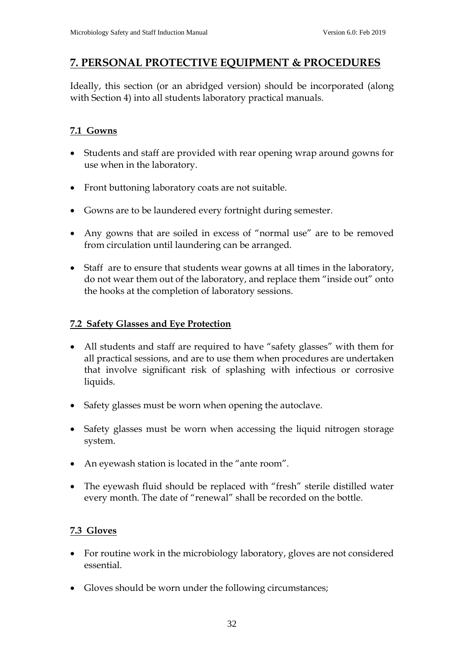### **7. PERSONAL PROTECTIVE EQUIPMENT & PROCEDURES**

Ideally, this section (or an abridged version) should be incorporated (along with Section 4) into all students laboratory practical manuals.

### **7.1 Gowns**

- Students and staff are provided with rear opening wrap around gowns for use when in the laboratory.
- Front buttoning laboratory coats are not suitable.
- Gowns are to be laundered every fortnight during semester.
- Any gowns that are soiled in excess of "normal use" are to be removed from circulation until laundering can be arranged.
- Staff are to ensure that students wear gowns at all times in the laboratory, do not wear them out of the laboratory, and replace them "inside out" onto the hooks at the completion of laboratory sessions.

#### **7.2 Safety Glasses and Eye Protection**

- All students and staff are required to have "safety glasses" with them for all practical sessions, and are to use them when procedures are undertaken that involve significant risk of splashing with infectious or corrosive liquids.
- Safety glasses must be worn when opening the autoclave.
- Safety glasses must be worn when accessing the liquid nitrogen storage system.
- An eyewash station is located in the "ante room".
- The eyewash fluid should be replaced with "fresh" sterile distilled water every month. The date of "renewal" shall be recorded on the bottle.

#### **7.3 Gloves**

- For routine work in the microbiology laboratory, gloves are not considered essential.
- Gloves should be worn under the following circumstances;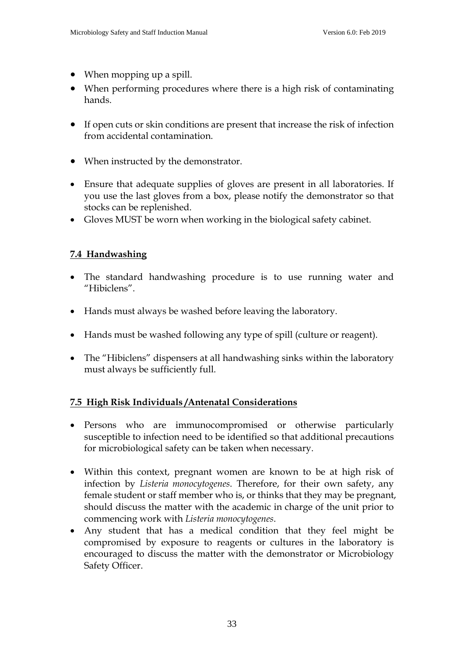- When mopping up a spill.
- When performing procedures where there is a high risk of contaminating hands.
- If open cuts or skin conditions are present that increase the risk of infection from accidental contamination.
- When instructed by the demonstrator.
- Ensure that adequate supplies of gloves are present in all laboratories. If you use the last gloves from a box, please notify the demonstrator so that stocks can be replenished.
- Gloves MUST be worn when working in the biological safety cabinet.

### **7.4 Handwashing**

- The standard handwashing procedure is to use running water and "Hibiclens".
- Hands must always be washed before leaving the laboratory.
- Hands must be washed following any type of spill (culture or reagent).
- The "Hibiclens" dispensers at all handwashing sinks within the laboratory must always be sufficiently full.

#### **7.5 High Risk Individuals /Antenatal Considerations**

- Persons who are immunocompromised or otherwise particularly susceptible to infection need to be identified so that additional precautions for microbiological safety can be taken when necessary.
- Within this context, pregnant women are known to be at high risk of infection by *Listeria monocytogenes*. Therefore, for their own safety, any female student or staff member who is, or thinks that they may be pregnant, should discuss the matter with the academic in charge of the unit prior to commencing work with *Listeria monocytogenes*.
- Any student that has a medical condition that they feel might be compromised by exposure to reagents or cultures in the laboratory is encouraged to discuss the matter with the demonstrator or Microbiology Safety Officer.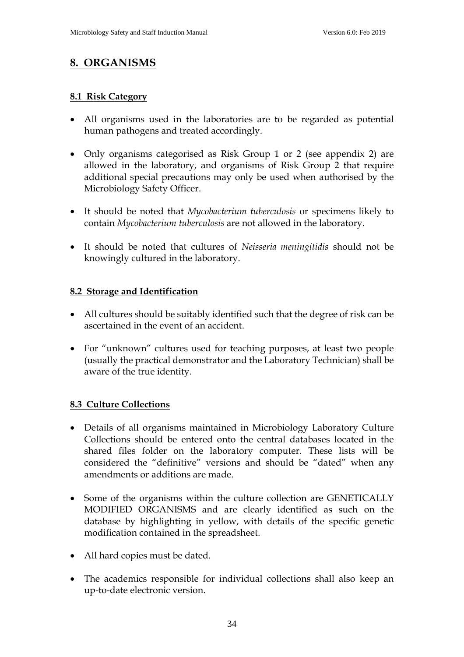### **8. ORGANISMS**

#### **8.1 Risk Category**

- All organisms used in the laboratories are to be regarded as potential human pathogens and treated accordingly.
- Only organisms categorised as Risk Group 1 or 2 (see appendix 2) are allowed in the laboratory, and organisms of Risk Group 2 that require additional special precautions may only be used when authorised by the Microbiology Safety Officer.
- It should be noted that *Mycobacterium tuberculosis* or specimens likely to contain *Mycobacterium tuberculosis* are not allowed in the laboratory.
- It should be noted that cultures of *Neisseria meningitidis* should not be knowingly cultured in the laboratory.

#### **8.2 Storage and Identification**

- All cultures should be suitably identified such that the degree of risk can be ascertained in the event of an accident.
- For "unknown" cultures used for teaching purposes, at least two people (usually the practical demonstrator and the Laboratory Technician) shall be aware of the true identity.

#### **8.3 Culture Collections**

- Details of all organisms maintained in Microbiology Laboratory Culture Collections should be entered onto the central databases located in the shared files folder on the laboratory computer. These lists will be considered the "definitive" versions and should be "dated" when any amendments or additions are made.
- Some of the organisms within the culture collection are GENETICALLY MODIFIED ORGANISMS and are clearly identified as such on the database by highlighting in yellow, with details of the specific genetic modification contained in the spreadsheet.
- All hard copies must be dated.
- The academics responsible for individual collections shall also keep an up-to-date electronic version.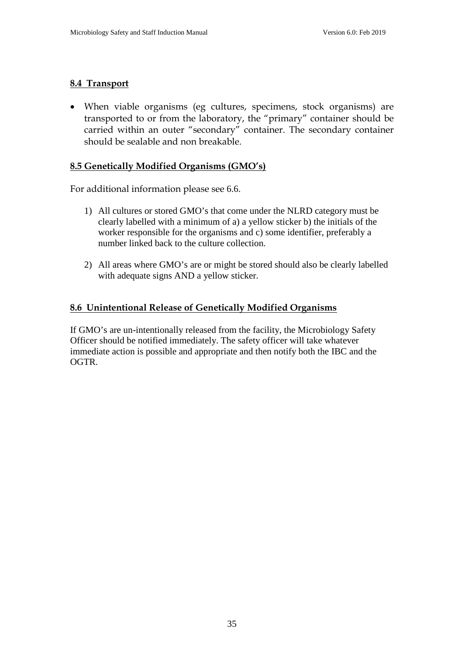#### **8.4 Transport**

• When viable organisms (eg cultures, specimens, stock organisms) are transported to or from the laboratory, the "primary" container should be carried within an outer "secondary" container. The secondary container should be sealable and non breakable.

#### **8.5 Genetically Modified Organisms (GMO's)**

For additional information please see 6.6.

- 1) All cultures or stored GMO's that come under the NLRD category must be clearly labelled with a minimum of a) a yellow sticker b) the initials of the worker responsible for the organisms and c) some identifier, preferably a number linked back to the culture collection.
- 2) All areas where GMO's are or might be stored should also be clearly labelled with adequate signs AND a yellow sticker.

#### **8.6 Unintentional Release of Genetically Modified Organisms**

If GMO's are un-intentionally released from the facility, the Microbiology Safety Officer should be notified immediately. The safety officer will take whatever immediate action is possible and appropriate and then notify both the IBC and the OGTR.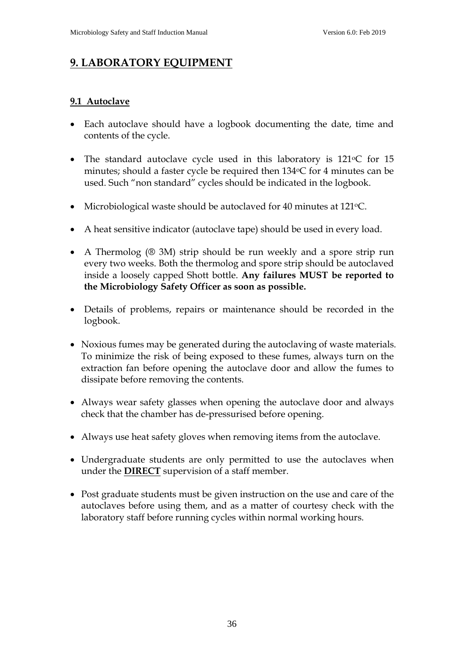## **9. LABORATORY EQUIPMENT**

#### **9.1 Autoclave**

- Each autoclave should have a logbook documenting the date, time and contents of the cycle.
- The standard autoclave cycle used in this laboratory is  $121\degree$ C for  $15$ minutes; should a faster cycle be required then  $134$ <sup>o</sup>C for 4 minutes can be used. Such "non standard" cycles should be indicated in the logbook.
- Microbiological waste should be autoclaved for 40 minutes at 121 °C.
- A heat sensitive indicator (autoclave tape) should be used in every load.
- A Thermolog (® 3M) strip should be run weekly and a spore strip run every two weeks. Both the thermolog and spore strip should be autoclaved inside a loosely capped Shott bottle. **Any failures MUST be reported to the Microbiology Safety Officer as soon as possible.**
- Details of problems, repairs or maintenance should be recorded in the logbook.
- Noxious fumes may be generated during the autoclaving of waste materials. To minimize the risk of being exposed to these fumes, always turn on the extraction fan before opening the autoclave door and allow the fumes to dissipate before removing the contents.
- Always wear safety glasses when opening the autoclave door and always check that the chamber has de-pressurised before opening.
- Always use heat safety gloves when removing items from the autoclave.
- Undergraduate students are only permitted to use the autoclaves when under the **DIRECT** supervision of a staff member.
- Post graduate students must be given instruction on the use and care of the autoclaves before using them, and as a matter of courtesy check with the laboratory staff before running cycles within normal working hours.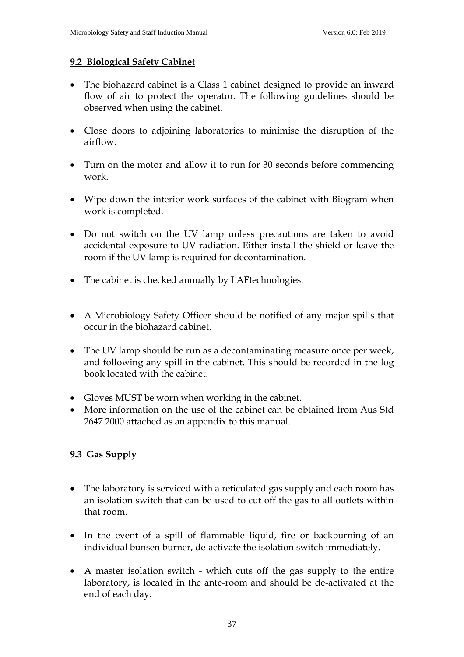#### **9.2 Biological Safety Cabinet**

- The biohazard cabinet is a Class 1 cabinet designed to provide an inward flow of air to protect the operator. The following guidelines should be observed when using the cabinet.
- Close doors to adjoining laboratories to minimise the disruption of the airflow.
- Turn on the motor and allow it to run for 30 seconds before commencing work.
- Wipe down the interior work surfaces of the cabinet with Biogram when work is completed.
- Do not switch on the UV lamp unless precautions are taken to avoid accidental exposure to UV radiation. Either install the shield or leave the room if the UV lamp is required for decontamination.
- The cabinet is checked annually by LAFtechnologies.
- A Microbiology Safety Officer should be notified of any major spills that occur in the biohazard cabinet.
- The UV lamp should be run as a decontaminating measure once per week, and following any spill in the cabinet. This should be recorded in the log book located with the cabinet.
- Gloves MUST be worn when working in the cabinet.
- More information on the use of the cabinet can be obtained from Aus Std 2647.2000 attached as an appendix to this manual.

#### **9.3 Gas Supply**

- The laboratory is serviced with a reticulated gas supply and each room has an isolation switch that can be used to cut off the gas to all outlets within that room.
- In the event of a spill of flammable liquid, fire or backburning of an individual bunsen burner, de-activate the isolation switch immediately.
- A master isolation switch which cuts off the gas supply to the entire laboratory, is located in the ante-room and should be de-activated at the end of each day.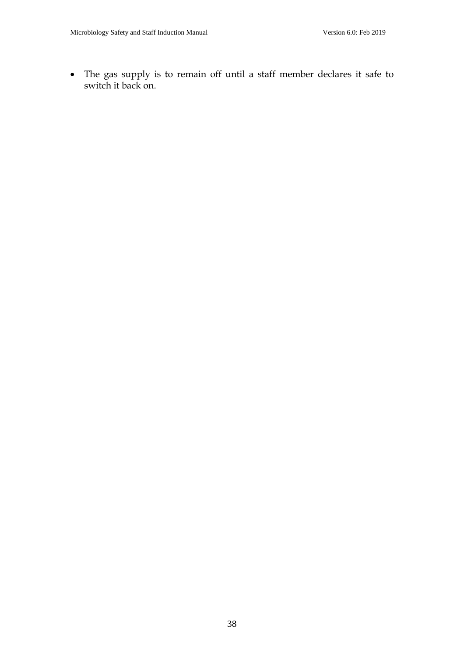• The gas supply is to remain off until a staff member declares it safe to switch it back on.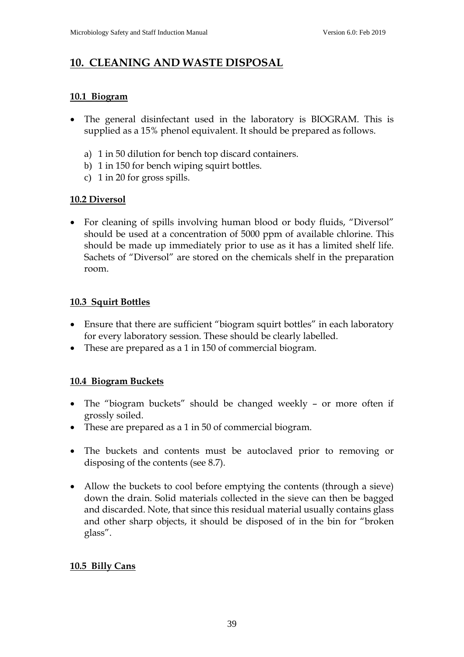## **10. CLEANING AND WASTE DISPOSAL**

#### **10.1 Biogram**

- The general disinfectant used in the laboratory is BIOGRAM. This is supplied as a 15% phenol equivalent. It should be prepared as follows.
	- a) 1 in 50 dilution for bench top discard containers.
	- b) 1 in 150 for bench wiping squirt bottles.
	- c) 1 in 20 for gross spills.

#### **10.2 Diversol**

• For cleaning of spills involving human blood or body fluids, "Diversol" should be used at a concentration of 5000 ppm of available chlorine. This should be made up immediately prior to use as it has a limited shelf life. Sachets of "Diversol" are stored on the chemicals shelf in the preparation room.

#### **10.3 Squirt Bottles**

- Ensure that there are sufficient "biogram squirt bottles" in each laboratory for every laboratory session. These should be clearly labelled.
- These are prepared as a 1 in 150 of commercial biogram.

#### **10.4 Biogram Buckets**

- The "biogram buckets" should be changed weekly or more often if grossly soiled.
- These are prepared as a 1 in 50 of commercial biogram.
- The buckets and contents must be autoclaved prior to removing or disposing of the contents (see 8.7).
- Allow the buckets to cool before emptying the contents (through a sieve) down the drain. Solid materials collected in the sieve can then be bagged and discarded. Note, that since this residual material usually contains glass and other sharp objects, it should be disposed of in the bin for "broken glass".

#### **10.5 Billy Cans**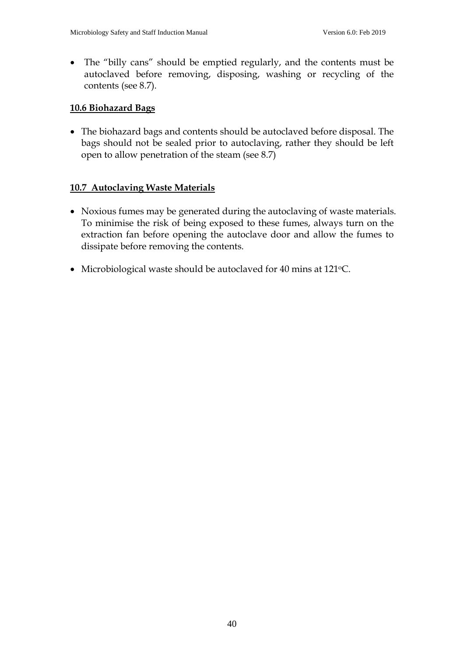• The "billy cans" should be emptied regularly, and the contents must be autoclaved before removing, disposing, washing or recycling of the contents (see 8.7).

#### **10.6 Biohazard Bags**

• The biohazard bags and contents should be autoclaved before disposal. The bags should not be sealed prior to autoclaving, rather they should be left open to allow penetration of the steam (see 8.7)

#### **10.7 Autoclaving Waste Materials**

- Noxious fumes may be generated during the autoclaving of waste materials. To minimise the risk of being exposed to these fumes, always turn on the extraction fan before opening the autoclave door and allow the fumes to dissipate before removing the contents.
- Microbiological waste should be autoclaved for 40 mins at 121 °C.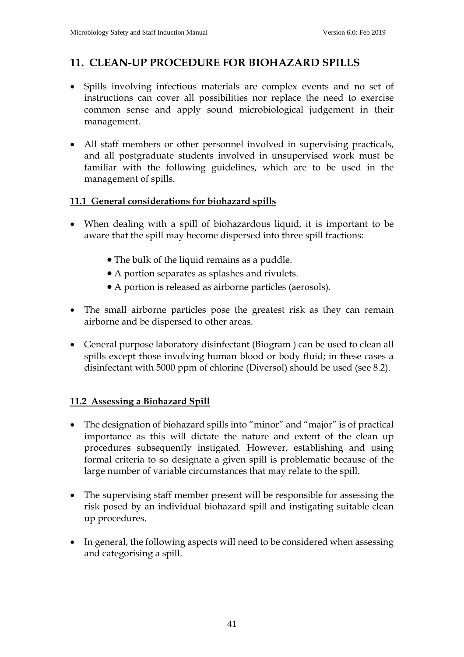### **11. CLEAN-UP PROCEDURE FOR BIOHAZARD SPILLS**

- Spills involving infectious materials are complex events and no set of instructions can cover all possibilities nor replace the need to exercise common sense and apply sound microbiological judgement in their management.
- All staff members or other personnel involved in supervising practicals, and all postgraduate students involved in unsupervised work must be familiar with the following guidelines, which are to be used in the management of spills.

#### **11.1 General considerations for biohazard spills**

- When dealing with a spill of biohazardous liquid, it is important to be aware that the spill may become dispersed into three spill fractions:
	- The bulk of the liquid remains as a puddle.
	- A portion separates as splashes and rivulets.
	- A portion is released as airborne particles (aerosols).
- The small airborne particles pose the greatest risk as they can remain airborne and be dispersed to other areas.
- General purpose laboratory disinfectant (Biogram ) can be used to clean all spills except those involving human blood or body fluid; in these cases a disinfectant with 5000 ppm of chlorine (Diversol) should be used (see 8.2).

#### **11.2 Assessing a Biohazard Spill**

- The designation of biohazard spills into "minor" and "major" is of practical importance as this will dictate the nature and extent of the clean up procedures subsequently instigated. However, establishing and using formal criteria to so designate a given spill is problematic because of the large number of variable circumstances that may relate to the spill.
- The supervising staff member present will be responsible for assessing the risk posed by an individual biohazard spill and instigating suitable clean up procedures.
- In general, the following aspects will need to be considered when assessing and categorising a spill.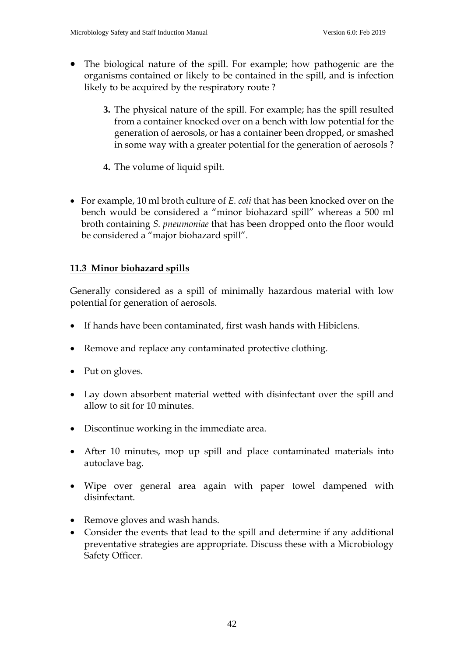- The biological nature of the spill. For example; how pathogenic are the organisms contained or likely to be contained in the spill, and is infection likely to be acquired by the respiratory route ?
	- **3.** The physical nature of the spill. For example; has the spill resulted from a container knocked over on a bench with low potential for the generation of aerosols, or has a container been dropped, or smashed in some way with a greater potential for the generation of aerosols ?
	- **4.** The volume of liquid spilt.
- For example, 10 ml broth culture of *E. coli* that has been knocked over on the bench would be considered a "minor biohazard spill" whereas a 500 ml broth containing *S. pneumoniae* that has been dropped onto the floor would be considered a "major biohazard spill".

#### **11.3 Minor biohazard spills**

Generally considered as a spill of minimally hazardous material with low potential for generation of aerosols.

- If hands have been contaminated, first wash hands with Hibiclens.
- Remove and replace any contaminated protective clothing.
- Put on gloves.
- Lay down absorbent material wetted with disinfectant over the spill and allow to sit for 10 minutes.
- Discontinue working in the immediate area.
- After 10 minutes, mop up spill and place contaminated materials into autoclave bag.
- Wipe over general area again with paper towel dampened with disinfectant.
- Remove gloves and wash hands.
- Consider the events that lead to the spill and determine if any additional preventative strategies are appropriate. Discuss these with a Microbiology Safety Officer.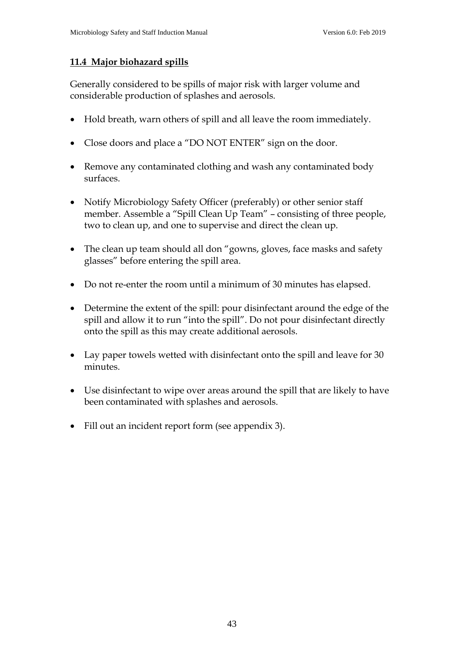#### **11.4 Major biohazard spills**

Generally considered to be spills of major risk with larger volume and considerable production of splashes and aerosols.

- Hold breath, warn others of spill and all leave the room immediately.
- Close doors and place a "DO NOT ENTER" sign on the door.
- Remove any contaminated clothing and wash any contaminated body surfaces.
- Notify Microbiology Safety Officer (preferably) or other senior staff member. Assemble a "Spill Clean Up Team" – consisting of three people, two to clean up, and one to supervise and direct the clean up.
- The clean up team should all don "gowns, gloves, face masks and safety glasses" before entering the spill area.
- Do not re-enter the room until a minimum of 30 minutes has elapsed.
- Determine the extent of the spill: pour disinfectant around the edge of the spill and allow it to run "into the spill". Do not pour disinfectant directly onto the spill as this may create additional aerosols.
- Lay paper towels wetted with disinfectant onto the spill and leave for 30 minutes.
- Use disinfectant to wipe over areas around the spill that are likely to have been contaminated with splashes and aerosols.
- Fill out an incident report form (see appendix 3).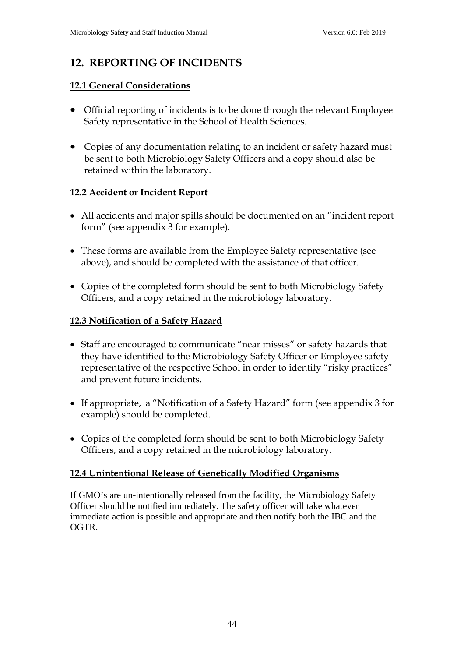## **12. REPORTING OF INCIDENTS**

#### **12.1 General Considerations**

- Official reporting of incidents is to be done through the relevant Employee Safety representative in the School of Health Sciences.
- Copies of any documentation relating to an incident or safety hazard must be sent to both Microbiology Safety Officers and a copy should also be retained within the laboratory.

#### **12.2 Accident or Incident Report**

- All accidents and major spills should be documented on an "incident report form" (see appendix 3 for example).
- These forms are available from the Employee Safety representative (see above), and should be completed with the assistance of that officer.
- Copies of the completed form should be sent to both Microbiology Safety Officers, and a copy retained in the microbiology laboratory.

#### **12.3 Notification of a Safety Hazard**

- Staff are encouraged to communicate "near misses" or safety hazards that they have identified to the Microbiology Safety Officer or Employee safety representative of the respective School in order to identify "risky practices" and prevent future incidents.
- If appropriate, a "Notification of a Safety Hazard" form (see appendix 3 for example) should be completed.
- Copies of the completed form should be sent to both Microbiology Safety Officers, and a copy retained in the microbiology laboratory.

#### **12.4 Unintentional Release of Genetically Modified Organisms**

If GMO's are un-intentionally released from the facility, the Microbiology Safety Officer should be notified immediately. The safety officer will take whatever immediate action is possible and appropriate and then notify both the IBC and the OGTR.